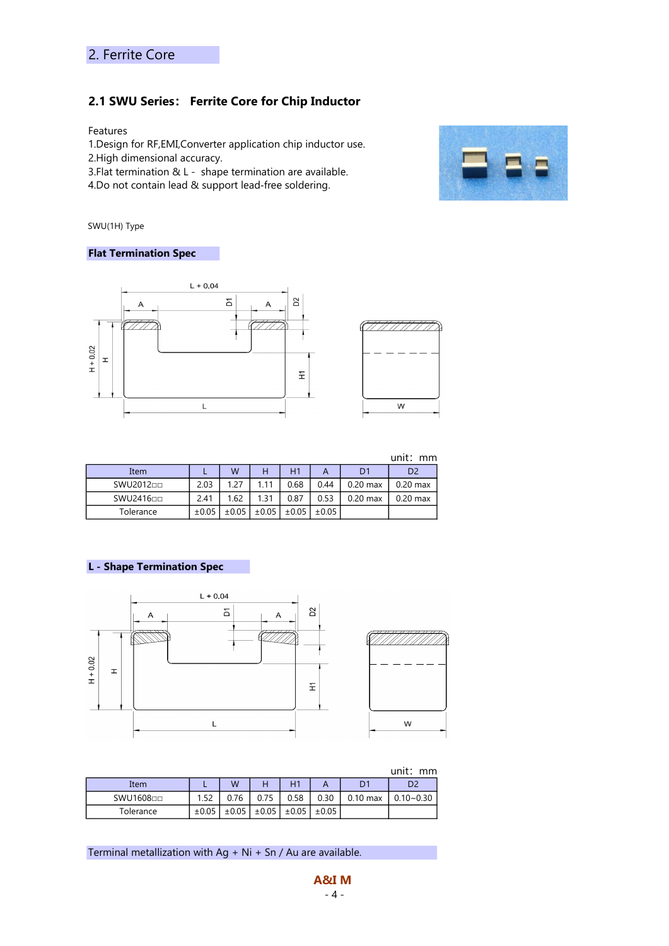## 2.1 SWU Series: Ferrite Core for Chip Inductor

Features

1.Design for RF,EMI,Converter application chip inductor use.

- 2.High dimensional accuracy.
- 3.Flat termination & L shape termination are available.
- 4.Do not contain lead & support lead‐free soldering.



SWU(1H) Type

#### Flat Termination Spec



|           |            | unit:<br>mm |            |            |            |                |                |  |
|-----------|------------|-------------|------------|------------|------------|----------------|----------------|--|
| Item      |            | W           | н          | H1         |            | D <sub>1</sub> | D <sub>2</sub> |  |
| SWU201200 | 2.03       | 1.27        | 1.11       | 0.68       | 0.44       | $0.20$ max     | $0.20$ max     |  |
| SWU241600 | 2.41       | 1.62        | 1.31       | 0.87       | 0.53       | $0.20$ max     | $0.20$ max     |  |
| Tolerance | $\pm 0.05$ | $\pm 0.05$  | $\pm 0.05$ | $\pm 0.05$ | $\pm 0.05$ |                |                |  |

#### L - Shape Termination Spec



|           |            |       |            |            |            |                | unit:<br>mm   |
|-----------|------------|-------|------------|------------|------------|----------------|---------------|
| Item      |            | W     |            | H1         |            | D <sub>1</sub> |               |
| SWU1608□□ | 1.52       | 0.76  | 0.75       | 0.58       | 0.30       | $0.10$ max     | $0.10 - 0.30$ |
| Tolerance | $\pm 0.05$ | ±0.05 | $\pm 0.05$ | $\pm 0.05$ | $\pm 0.05$ |                |               |

Terminal metallization with  $Ag + Ni + Sn / Au$  are available.